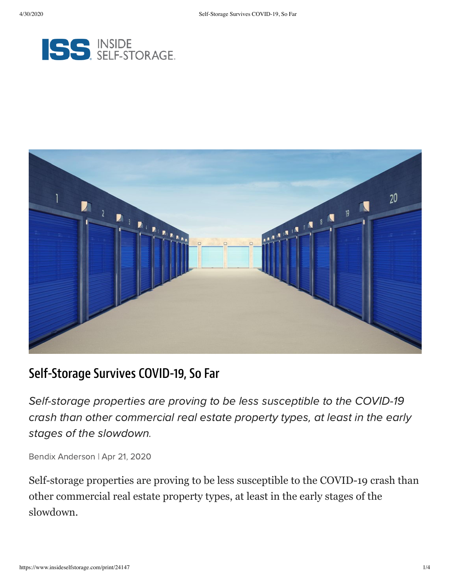



# Self-Storage Survives COVID-19, So Far

Self-storage properties are proving to be less susceptible to the COVID-19 crash than other commercial real estate property types, at least in the early stages of the slowdown.

Bendix Anderson | Apr 21, 2020

Self-storage properties are proving to be less susceptible to the COVID-19 crash than other commercial real estate property types, at least in the early stages of the slowdown.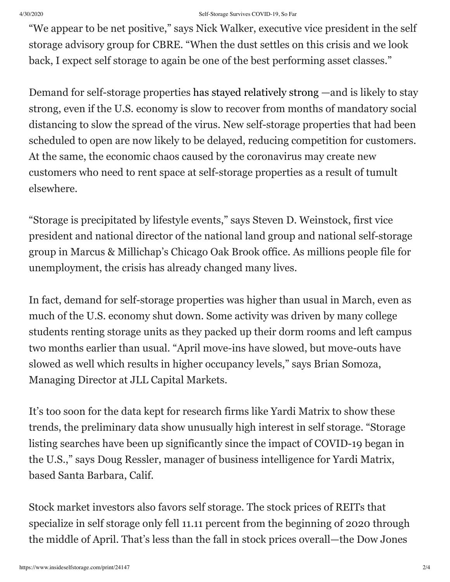## 4/30/2020 Self-Storage Survives COVID-19, So Far

"We appear to be net positive," says Nick Walker, executive vice president in the self storage advisory group for CBRE. "When the dust settles on this crisis and we look back, I expect self storage to again be one of the best performing asset classes."

Demand for self-storage properties [has stayed relatively strong](https://www.nreionline.com/investment/cres-potential-winners-and-losers-virus-hit-world) —and is likely to stay strong, even if the U.S. economy is slow to recover from months of mandatory social distancing to slow the spread of the virus. New self-storage properties that had been scheduled to open are now likely to be delayed, reducing competition for customers. At the same, the economic chaos caused by the coronavirus may create new customers who need to rent space at self-storage properties as a result of tumult elsewhere.

"Storage is precipitated by lifestyle events," says Steven D. Weinstock, first vice president and national director of the national land group and national self-storage group in Marcus & Millichap's Chicago Oak Brook office. As millions people file for unemployment, the crisis has already changed many lives.

In fact, demand for self-storage properties was higher than usual in March, even as much of the U.S. economy shut down. Some activity was driven by many college students renting storage units as they packed up their dorm rooms and left campus two months earlier than usual. "April move-ins have slowed, but move-outs have slowed as well which results in higher occupancy levels," says Brian Somoza, Managing Director at JLL Capital Markets.

It's too soon for the data kept for research firms like Yardi Matrix to show these trends, the preliminary data show unusually high interest in self storage. "Storage listing searches have been up significantly since the impact of COVID-19 began in the U.S.," says Doug Ressler, manager of business intelligence for Yardi Matrix, based Santa Barbara, Calif.

Stock market investors also favors self storage. The stock prices of REITs that specialize in self storage only fell 11.11 percent from the beginning of 2020 through the middle of April. That's less than the fall in stock prices overall—the Dow Jones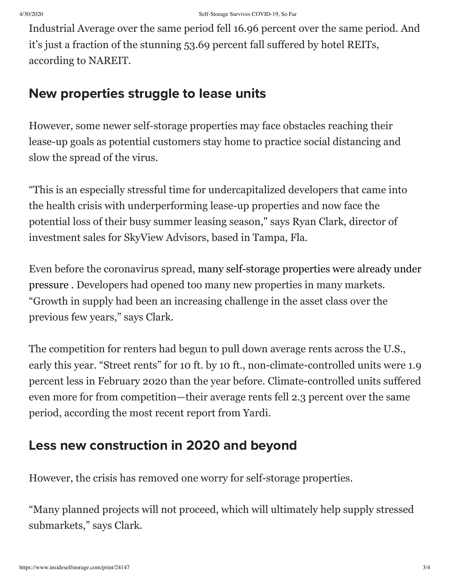Industrial Average over the same period fell 16.96 percent over the same period. And it's just a fraction of the stunning 53.69 percent fall suffered by hotel REITs, according to NAREIT.

## New properties struggle to lease units

However, some newer self-storage properties may face obstacles reaching their lease-up goals as potential customers stay home to practice social distancing and slow the spread of the virus.

"This is an especially stressful time for undercapitalized developers that came into the health crisis with underperforming lease-up properties and now face the potential loss of their busy summer leasing season," says Ryan Clark, director of investment sales for SkyView Advisors, based in Tampa, Fla.

[Even before the coronavirus spread, many self-storage properties were already under](https://www.nreionline.com/self-storage/6-trends-affecting-self-storage-development-2020) pressure . Developers had opened too many new properties in many markets. "Growth in supply had been an increasing challenge in the asset class over the previous few years," says Clark.

The competition for renters had begun to pull down average rents across the U.S., early this year. "Street rents" for 10 ft. by 10 ft., non-climate-controlled units were 1.9 percent less in February 2020 than the year before. Climate-controlled units suffered even more for from competition—their average rents fell 2.3 percent over the same period, according the most recent report from Yardi.

# Less new construction in 2020 and beyond

However, the crisis has removed one worry for self-storage properties.

"Many planned projects will not proceed, which will ultimately help supply stressed submarkets," says Clark.